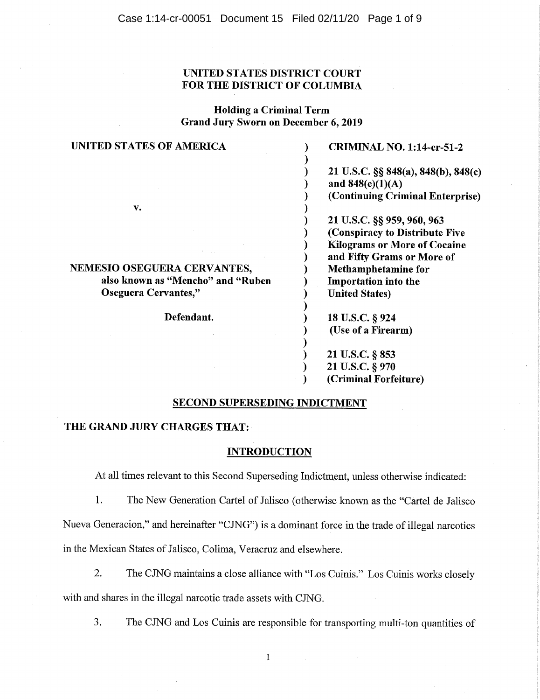### UNITED STATES DISTRICT COURT FOR THE DISTRICT OF COLUMBIA

Holding a Criminal Term Grand Jury Sworn on December 6, 2019

| UNITED STATES OF AMERICA          | <b>CRIMINAL NO. 1:14-cr-51-2</b>                          |
|-----------------------------------|-----------------------------------------------------------|
|                                   | 21 U.S.C. §§ 848(a), 848(b), 848(c)<br>and $848(e)(1)(A)$ |
|                                   | (Continuing Criminal Enterprise)                          |
| v.                                |                                                           |
|                                   | 21 U.S.C. §§ 959, 960, 963                                |
|                                   | (Conspiracy to Distribute Five                            |
|                                   | <b>Kilograms or More of Cocaine</b>                       |
|                                   | and Fifty Grams or More of                                |
| NEMESIO OSEGUERA CERVANTES,       | <b>Methamphetamine for</b>                                |
| also known as "Mencho" and "Ruben | <b>Importation</b> into the                               |
| Oseguera Cervantes,"              | <b>United States)</b>                                     |
| Defendant.                        | 18 U.S.C. § 924                                           |
|                                   | (Use of a Firearm)                                        |
|                                   | 21 U.S.C. § 853                                           |
|                                   | 21 U.S.C. § 970                                           |
|                                   | (Criminal Forfeiture)                                     |

#### SECOND SUPERSEDING INDICTMENT

#### THE GRAND JURY CHARGES THAT:

#### **INTRODUCTION**

At all times relevant to this Second Superseding Indictment, unless otherwise indicated:

1. The New Generation Cartel of Jalisco (otherwise known as the "Cartel de Jalisco Nueva Generacion," and hereinafter "CJNG") is a dominant force in the trade of illegal narcotics in the Mexican States of Jalisco, Colima, Veracruz and elsewhere.

- 2. The CJNG maintains a close alliance with "Los Cuinis." Los Cuinis works closely with and shares in the illegal narcotic trade assets with CJNG.
	- 3. The CJNG and Los Cuinis are responsible for transporting multi-ton quantities of

 $\mathbf{1}% ^{T}=\mathbf{1}_{T}\times\mathbf{1}_{T}$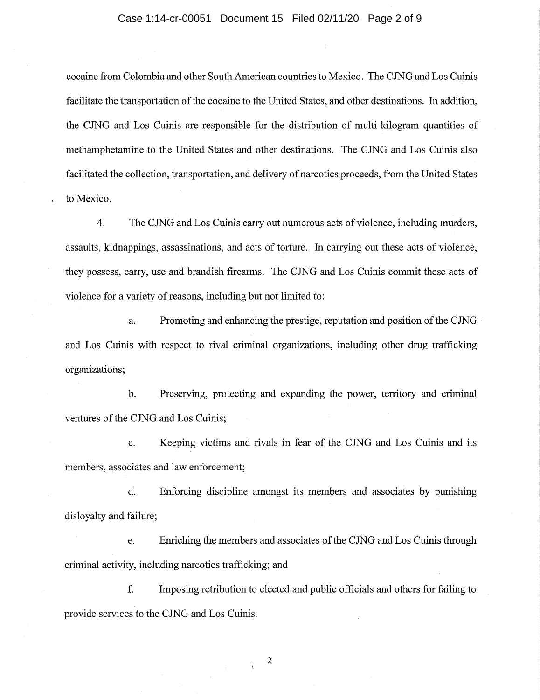#### Case 1:14-cr-00051 Document 15 Filed 02/11/20 Page 2 of 9

cocaine from Colombia and other South American countries to Mexico. The CJNG and Los Cuinis facilitate the transportation of the cocaine to the United States, and other destinations. In addition, the CJNG and Los Cuinis are responsible for the distribution of multi-kilogram quantities of methamphetamine to the United States and other destinations. The CJNG and Los Cuinis also facilitated the collection, transportation, and delivery of narcotics proceeds, from the United States to Mexico.

4. The CJNG and Los Cuinis carry out numerous acts of violence, including murders, assaults, kidnappings, assassinations, and acts of torture. In carrying out these acts of violence, they possess, carry, use and brandish firearms. The CJNG and Los Cuinis commit these acts of violence for a variety of reasons, including but not limited to:

a. Promoting and enhancing the prestige, reputation and position of the CJNG and Los Cuinis with respect to rival criminal organizations, including other drug trafficking organizations;

b. Preserving, protecting and expanding the power, territory and criminal ventures of the CJNG and Los Cuinis;

c. Keeping victims and rivals in fear of the CJNG and Los Cuinis and its members, associates and law enforcement;

d. Enforcing discipline amongst its members and associates by punishing disloyalty and failure;

e. Enriching the members and associates of the CJNG and Los Cuinis through criminal activity, including narcotics trafficking; and

f. Imposing retribution to elected and public officials and others for failing to provide services to the CJNG and Los Cuinis.

2

 $\bar{\chi}$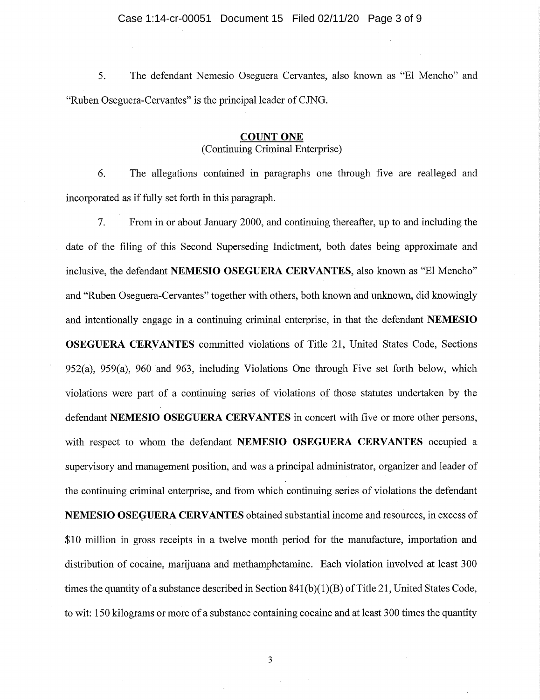5. The defendant Nemesio Oseguera Cervantes, also known as "El Mencho" and "Ruben Oseguera-Cervantes" is the principal leader of CJNG.

#### **COUNT ONE**  (Continuing Criminal Enterprise)

6. The allegations contained in paragraphs one through five are realleged and incorporated as if fully set forth in this paragraph.

7. From in or about January 2000, and continuing thereafter, up to and including the date of the filing of this Second Superseding Indictment, both dates being approximate and inclusive, the defendant **NEMESIO OSEGUERA CERVANTES,** also known as "El Mencho" and "Ruben Oseguera-Cervantes" together with others, both known and unknown, did knowingly and intentionally engage in a continuing criminal enterprise, in that the defendant **NEMESIO OSEGUERA CERVANTES** committed violations of Title 21, United States Code, Sections 952(a), 959(a), 960 and 963, including Violations One through Five set forth below, which violations were part of a continuing series of violations of those statutes undertaken by the defendant **NEMESIO OSEGUERA CERVANTES** in concert with five or more other persons, with respect to whom the defendant **NEMESIO OSEGUERA CERVANTES** occupied a supervisory and management position, and was a principal administrator, organizer and leader of the continuing criminal enterprise, and from which continuing series of violations the defendant **NEMESIO OSEGUERA CERVANTES** obtained substantial income and resources, in excess of \$10 million in gross receipts in a twelve month period for the manufacture, importation and distribution of cocaine, marijuana and methamphetamine. Each violation involved at least 300 times the quantity of a substance described in Section 841(b)(1)(B) of Title 21, United States Code, to wit: 150 kilograms or more of a substance containing cocaine and at least 300 times the quantity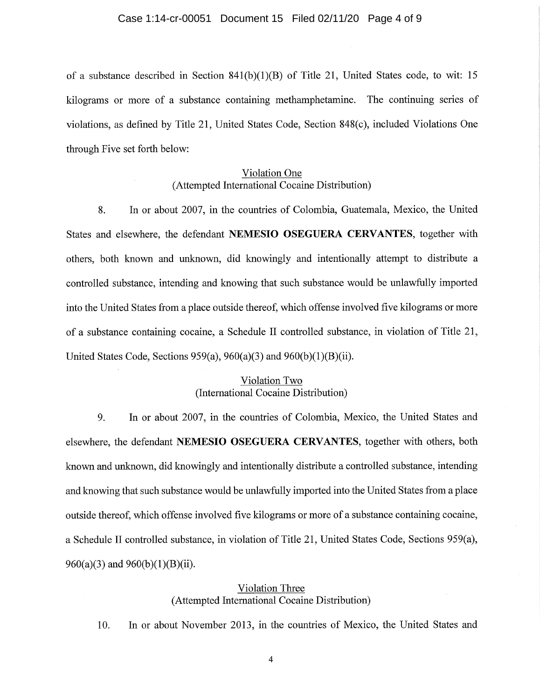#### Case 1:14-cr-00051 Document 15 Filed 02/11/20 Page 4 of 9

of a substance described in Section 841(b)(1)(B) of Title 21, United States code, to wit: 15 kilograms or more of a substance containing methamphetamine. The continuing series of violations, as defined by Title 21, United States Code, Section 848(c), included Violations One through Five set forth below:

# Violation One (Attempted International Cocaine Distribution)

8. In or about 2007, in the countries of Colombia, Guatemala, Mexico, the United States and elsewhere, the defendant **NEMESIO OSEGUERA CERVANTES,** together with others, both known and unknown, did knowingly and intentionally attempt to distribute a controlled substance, intending and knowing that such substance would be unlawfully imported into the United States from a place outside thereof, which offense involved five kilograms or more of a substance containing cocaine, a Schedule II controlled substance, in violation of Title 21, United States Code, Sections 959(a), 960(a)(3) and 960(b)(1)(B)(ii).

## Violation Two (International Cocaine Distribution)

9. In or about 2007, in the countries of Colombia, Mexico, the United States and elsewhere, the defendant **NEMESIO OSEGUERA CERVANTES,** together with others, both known and unknown, did knowingly and intentionally distribute a controlled substance, intending and knowing that such substance would be unlawfully imported into the United States from a place outside thereof, which offense involved five kilograms or more of a substance containing cocaine, a Schedule II controlled substance, in violation of Title 21, United States Code, Sections 959(a), 960(a)(3) and 960(b)(1)(B)(ii).

# Violation Three (Attempted International Cocaine Distribution)

10. In or about November 2013, in the countries of Mexico, the United States and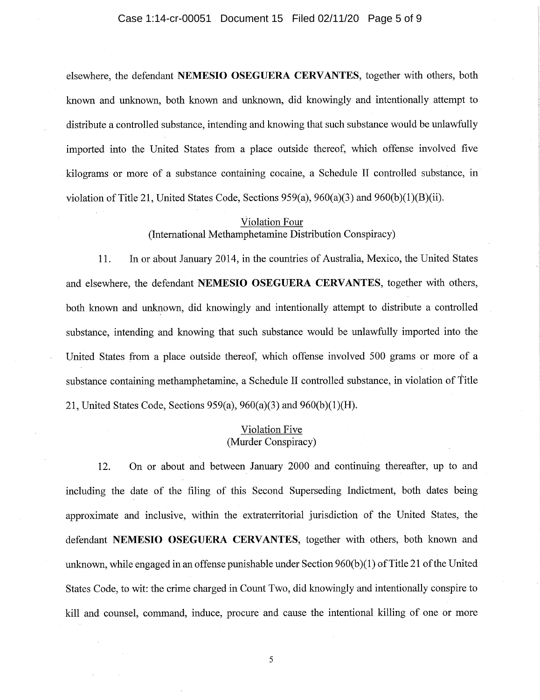elsewhere, the defendant **NEMESIO OSEGUERA CERVANTES,** together with others, both known and unknown, both known and unknown, did knowingly and intentionally attempt to distribute a controlled substance, intending and knowing that such substance would be unlawfully imported into the United States from a place outside thereof, which offense involved five kilograms or more of a substance containing cocaine, a Schedule II controlled substance, in violation of Title 21, United States Code, Sections 959(a), 960(a)(3) and 960(b)(1)(B)(ii).

# Violation Four (International Methamphetamine Distribution Conspiracy)

11. In or about January 2014, in the countries of Australia, Mexico, the United States and elsewhere, the defendant **NEMESIO OSEGUERA CERVANTES,** together with others, both known and unknown, did knowingly and intentionally attempt to distribute a controlled substance, intending and knowing that such substance would be unlawfully imported into the United States from a place outside thereof, which offense involved 500 grams or more of a substance containing methamphetamine, a Schedule II controlled substance, in violation of Title 21, United States Code, Sections 959(a), 960(a)(3) and 960(b)(1)(H).

# Violation Five (Murder Conspiracy)

12. On or about and between January 2000 and continuing thereafter, up to and including the date of the filing of this Second Superseding Indictment, both dates being approximate and inclusive, within the extraterritorial jurisdiction of the United States, the defendant **NEMESIO OSEGUERA CERVANTES,** together with others, both known and unknown, while engaged in an offense punishable under Section 960(b)(1) of Title 21 of the United States Code, to wit: the crime charged in Count Two, did knowingly and intentionally conspire to kill and counsel, command, induce, procure and cause the intentional killing of one or more

5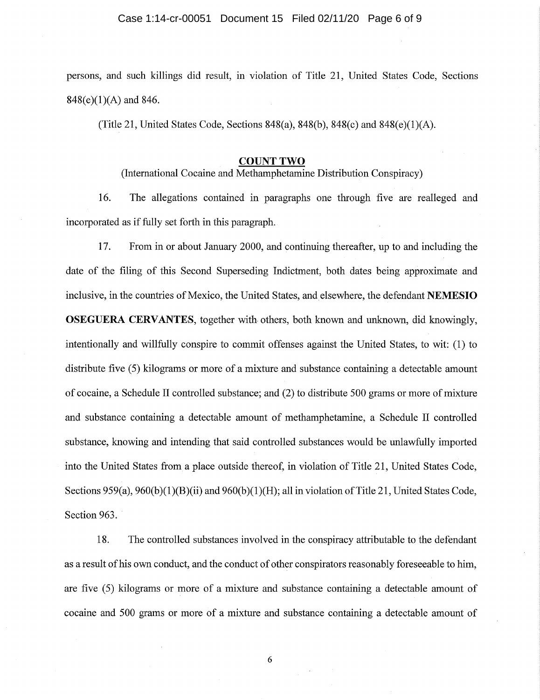#### Case 1:14-cr-00051 Document 15 Filed 02/11/20 Page 6 of 9

persons, and such killings did result, in violation of Title 21, United States Code, Sections 848(e)(1)(A) and 846.

(Title 21, United States Code, Sections  $848(a)$ ,  $848(b)$ ,  $848(c)$  and  $848(e)(1)(A)$ .

#### **COUNT TWO**

(International Cocaine and Methamphetamine Distribution Conspiracy)

16. The allegations contained in paragraphs one through five are realleged and incorporated as if fully set forth in this paragraph.

17. From in or about January 2000, and continuing thereafter, up to and including the date of the filing of this Second Superseding Indictment, both dates being approximate and inclusive, in the countries of Mexico, the United States, and elsewhere, the defendant **NEMESIO OSEGUERA CERVANTES,** together with others, both known and unknown, did knowingly, intentionally and willfully conspire to commit offenses against the United States, to wit: (1) to distribute five (5) kilograms or more of a mixture and substance containing a detectable amount of cocaine, a Schedule II controlled substance; and (2) to distribute 500 grams or more of mixture and substance containing a detectable amount of methamphetamine, a Schedule II controlled substance, knowing and intending that said controlled substances would be unlawfully imported into the United States from a place outside thereof, in violation of Title 21, United States Code, Sections 959(a), 960(b)(1)(B)(ii) and 960(b)(1)(H); all in violation of Title 21, United States Code, Section 963.

18. The controlled substances involved in the conspiracy attributable to the defendant as a result of his own conduct, and the conduct of other conspirators reasonably foreseeable to him, are five (5) kilograms or more of a mixture and substance containing a detectable amount of cocaine and 500 grams or more of a mixture and substance containing a detectable amount of

6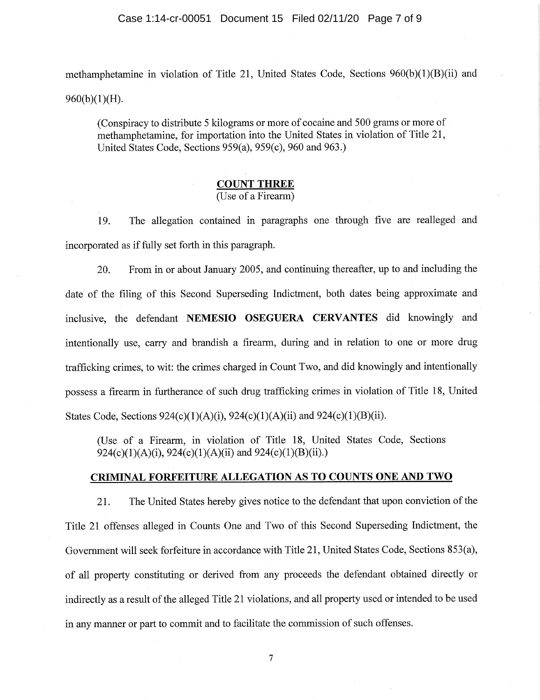methamphetamine in violation of Title 21, United States Code, Sections 960(b)(1)(B)(ii) and 960(b)(1)(H).

(Conspiracy to distribute 5 kilograms or more of cocaine and 500 grams or more of methamphetamine, for importation into the United States in violation of Title 21, United States Code, Sections 959(a), 959(c), 960 and 963.)

# **COUNT THREE**

(Use of a Firearm)

19. The allegation contained in paragraphs one through five are realleged and incorporated as if fully set forth in this paragraph.

20. From in or about January 2005, and continuing thereafter, up to and including the date of the filing of this Second Superseding Indictment, both dates being approximate and inclusive, the defendant **NEMESIO OSEGUERA CERVANTES** did knowingly and intentionally use, carry and brandish a firearm, during and in relation to one or more drug trafficking crimes, to wit: the crimes charged in Count Two, and did knowingly and intentionally possess a firearm in furtherance of such drug trafficking crimes in violation of Title 18, United States Code, Sections 924(c)(1)(A)(i), 924(c)(1)(A)(ii) and 924(c)(1)(B)(ii).

(Use of a Firearm, in violation of Title 18, United States Code, Sections 924(c)(1)(A)(i), 924(c)(1)(A)(ii) and 924(c)(1)(B)(ii).)

# **CRIMINAL FORFEITURE ALLEGATION AS TO COUNTS ONE AND TWO**

21. The United States hereby gives notice to the defendant that upon conviction of the Title 21 offenses alleged in Counts One and Two of this Second Superseding Indictment, the Government will seek forfeiture in accordance with Title 21, United States Code, Sections 853(a), of all property constituting or derived from any proceeds the defendant obtained directly or indirectly as a result of the alleged Title 21 violations, and all property used or intended to be used in any manner or part to commit and to facilitate the commission of such offenses.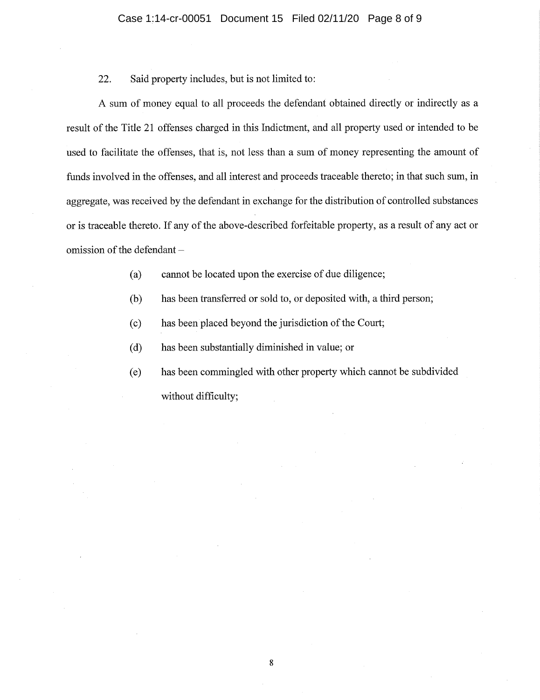## 22. Said property includes, but is not limited to:

A sum of money equal to all proceeds the defendant obtained directly or indirectly as a result of the Title 21 offenses charged in this Indictment, and all property used or intended to be used to facilitate the offenses, that is, not less than a sum of money representing the amount of funds involved in the offenses, and all interest and proceeds traceable thereto; in that such sum, in aggregate, was received by the defendant in exchange for the distribution of controlled substances or is traceable thereto. If any of the above-described forfeitable property, as a result of any act or omission of the defendant —

- (a) cannot be located upon the exercise of due diligence;
- (b) has been transferred or sold to, or deposited with, a third person;
- (c) has been placed beyond the jurisdiction of the Court;
- (d) has been substantially diminished in value; or
- (e) has been commingled with other property which cannot be subdivided without difficulty;